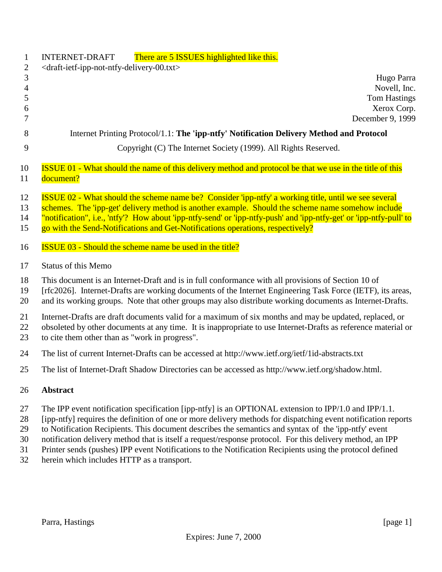| $\mathbf{1}$<br>$\mathbf{2}$       | There are 5 ISSUES highlighted like this.<br><b>INTERNET-DRAFT</b><br><draft-ietf-ipp-not-ntfy-delivery-00.txt></draft-ietf-ipp-not-ntfy-delivery-00.txt>                                                                                                                                                                                                                                                                 |
|------------------------------------|---------------------------------------------------------------------------------------------------------------------------------------------------------------------------------------------------------------------------------------------------------------------------------------------------------------------------------------------------------------------------------------------------------------------------|
| 3<br>$\overline{4}$<br>5<br>6<br>7 | Hugo Parra<br>Novell, Inc.<br><b>Tom Hastings</b><br>Xerox Corp.<br>December 9, 1999                                                                                                                                                                                                                                                                                                                                      |
| 8                                  | Internet Printing Protocol/1.1: The 'ipp-ntfy' Notification Delivery Method and Protocol                                                                                                                                                                                                                                                                                                                                  |
| 9                                  | Copyright (C) The Internet Society (1999). All Rights Reserved.                                                                                                                                                                                                                                                                                                                                                           |
| 10<br>11                           | <b>ISSUE 01 - What should the name of this delivery method and protocol be that we use in the title of this</b><br>document?                                                                                                                                                                                                                                                                                              |
| 12<br>13<br>14<br>15               | <b>ISSUE 02 - What should the scheme name be?</b> Consider 'ipp-ntfy' a working title, until we see several<br>schemes. The 'ipp-get' delivery method is another example. Should the scheme name somehow include<br>"notification", i.e., 'ntfy'? How about 'ipp-ntfy-send' or 'ipp-ntfy-push' and 'ipp-ntfy-get' or 'ipp-ntfy-pull' to<br>go with the Send-Notifications and Get-Notifications operations, respectively? |
| 16                                 | <b>ISSUE 03 - Should the scheme name be used in the title?</b>                                                                                                                                                                                                                                                                                                                                                            |
| 17                                 | <b>Status of this Memo</b>                                                                                                                                                                                                                                                                                                                                                                                                |
| 18<br>19<br>20                     | This document is an Internet-Draft and is in full conformance with all provisions of Section 10 of<br>[rfc2026]. Internet-Drafts are working documents of the Internet Engineering Task Force (IETF), its areas,<br>and its working groups. Note that other groups may also distribute working documents as Internet-Drafts.                                                                                              |
| 21<br>22<br>23                     | Internet-Drafts are draft documents valid for a maximum of six months and may be updated, replaced, or<br>obsoleted by other documents at any time. It is inappropriate to use Internet-Drafts as reference material or<br>to cite them other than as "work in progress".                                                                                                                                                 |
| 24                                 | The list of current Internet-Drafts can be accessed at http://www.ietf.org/ietf/1id-abstracts.txt                                                                                                                                                                                                                                                                                                                         |
| 25                                 | The list of Internet-Draft Shadow Directories can be accessed as http://www.ietf.org/shadow.html.                                                                                                                                                                                                                                                                                                                         |
| 26                                 | <b>Abstract</b>                                                                                                                                                                                                                                                                                                                                                                                                           |
| 27<br>28                           | The IPP event notification specification [ipp-ntfy] is an OPTIONAL extension to IPP/1.0 and IPP/1.1.<br>[ipp-ntfy] requires the definition of one or more delivery methods for dispatching event notification reports                                                                                                                                                                                                     |

- 29 to Notification Recipients. This document describes the semantics and syntax of the 'ipp-ntfy' event<br>30 notification delivery method that is itself a request/response protocol. For this delivery method, an I
- notification delivery method that is itself a request/response protocol. For this delivery method, an IPP
- 31 Printer sends (pushes) IPP event Notifications to the Notification Recipients using the protocol defined<br>32 herein which includes HTTP as a transport.
- herein which includes HTTP as a transport.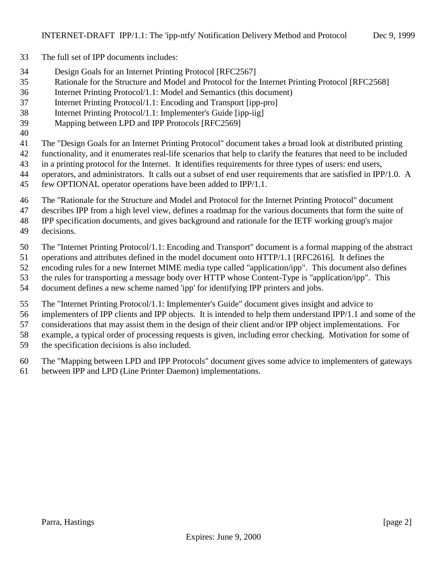- The full set of IPP documents includes:
- Design Goals for an Internet Printing Protocol [RFC2567]
- Rationale for the Structure and Model and Protocol for the Internet Printing Protocol [RFC2568]
- Internet Printing Protocol/1.1: Model and Semantics (this document)
- Internet Printing Protocol/1.1: Encoding and Transport [ipp-pro]
- Internet Printing Protocol/1.1: Implementer's Guide [ipp-iig]
- Mapping between LPD and IPP Protocols [RFC2569]
- 

The "Design Goals for an Internet Printing Protocol" document takes a broad look at distributed printing

- functionality, and it enumerates real-life scenarios that help to clarify the features that need to be included
- in a printing protocol for the Internet. It identifies requirements for three types of users: end users,
- 44 operators, and administrators. It calls out a subset of end user requirements that are satisfied in IPP/1.0. A
- few OPTIONAL operator operations have been added to IPP/1.1.
- The "Rationale for the Structure and Model and Protocol for the Internet Printing Protocol" document
- describes IPP from a high level view, defines a roadmap for the various documents that form the suite of
- IPP specification documents, and gives background and rationale for the IETF working group's major
- decisions.
- The "Internet Printing Protocol/1.1: Encoding and Transport" document is a formal mapping of the abstract
- operations and attributes defined in the model document onto HTTP/1.1 [RFC2616]. It defines the
- encoding rules for a new Internet MIME media type called "application/ipp". This document also defines
- the rules for transporting a message body over HTTP whose Content-Type is "application/ipp". This
- document defines a new scheme named 'ipp' for identifying IPP printers and jobs.
- The "Internet Printing Protocol/1.1: Implementer's Guide" document gives insight and advice to
- implementers of IPP clients and IPP objects. It is intended to help them understand IPP/1.1 and some of the

considerations that may assist them in the design of their client and/or IPP object implementations. For

- example, a typical order of processing requests is given, including error checking. Motivation for some of
- the specification decisions is also included.
- The "Mapping between LPD and IPP Protocols" document gives some advice to implementers of gateways
- between IPP and LPD (Line Printer Daemon) implementations.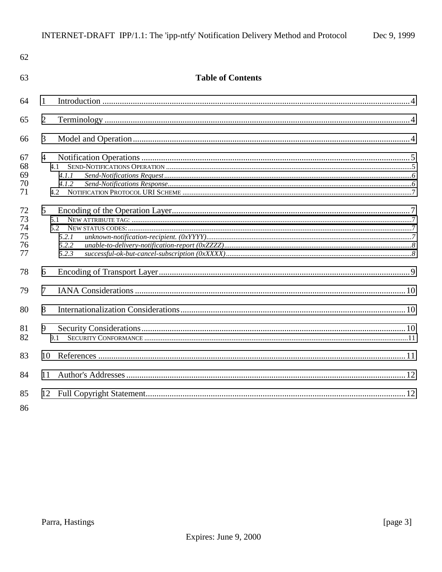| 62                               |                                                   |  |
|----------------------------------|---------------------------------------------------|--|
| 63                               | <b>Table of Contents</b>                          |  |
| 64                               | 1                                                 |  |
| 65                               | $\overline{2}$                                    |  |
| 66                               | 3                                                 |  |
| 67<br>68<br>69<br>70<br>71       | $\overline{4}$<br>4.1<br>4.1.1<br>4.1.2           |  |
| 72<br>73<br>74<br>75<br>76<br>77 | $5\overline{)}$<br>5.1<br>5.2.1<br>5.2.2<br>5.2.3 |  |
| 78                               | 6                                                 |  |
| 79                               | $\tau$                                            |  |
| 80                               | 8                                                 |  |
| 81<br>82                         | 9<br>9.1                                          |  |
| 83                               | 10                                                |  |
| 84                               | 11                                                |  |
| 85                               |                                                   |  |

86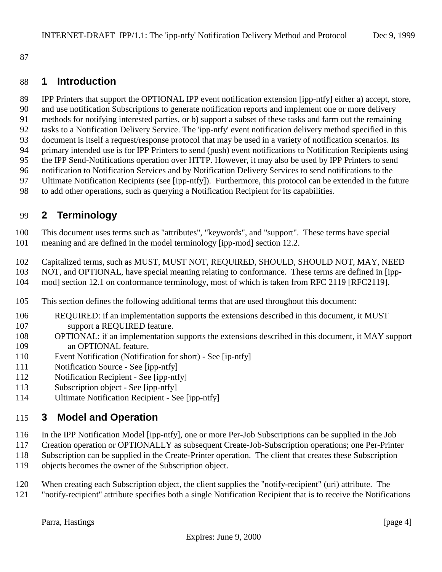<span id="page-3-0"></span>

### **1 Introduction**

 IPP Printers that support the OPTIONAL IPP event notification extension [ipp-ntfy] either a) accept, store, and use notification Subscriptions to generate notification reports and implement one or more delivery

- methods for notifying interested parties, or b) support a subset of these tasks and farm out the remaining
- tasks to a Notification Delivery Service. The 'ipp-ntfy' event notification delivery method specified in this
- document is itself a request/response protocol that may be used in a variety of notification scenarios. Its
- primary intended use is for IPP Printers to send (push) event notifications to Notification Recipients using
- the IPP Send-Notifications operation over HTTP. However, it may also be used by IPP Printers to send
- notification to Notification Services and by Notification Delivery Services to send notifications to the Ultimate Notification Recipients (see [ipp-ntfy]). Furthermore, this protocol can be extended in the future
- to add other operations, such as querying a Notification Recipient for its capabilities.

# **2 Terminology**

 This document uses terms such as "attributes", "keywords", and "support". These terms have special meaning and are defined in the model terminology [ipp-mod] section 12.2.

- Capitalized terms, such as MUST, MUST NOT, REQUIRED, SHOULD, SHOULD NOT, MAY, NEED
- NOT, and OPTIONAL, have special meaning relating to conformance. These terms are defined in [ipp-
- mod] section 12.1 on conformance terminology, most of which is taken from RFC 2119 [RFC2119].
- This section defines the following additional terms that are used throughout this document:
- REQUIRED: if an implementation supports the extensions described in this document, it MUST support a REQUIRED feature.
- OPTIONAL: if an implementation supports the extensions described in this document, it MAY support an OPTIONAL feature.
- Event Notification (Notification for short) See [ip-ntfy]
- Notification Source See [ipp-ntfy]
- Notification Recipient See [ipp-ntfy]
- Subscription object See [ipp-ntfy]
- Ultimate Notification Recipient See [ipp-ntfy]

## **3 Model and Operation**

- In the IPP Notification Model [ipp-ntfy], one or more Per-Job Subscriptions can be supplied in the Job
- Creation operation or OPTIONALLY as subsequent Create-Job-Subscription operations; one Per-Printer Subscription can be supplied in the Create-Printer operation. The client that creates these Subscription
- objects becomes the owner of the Subscription object.
- When creating each Subscription object, the client supplies the "notify-recipient" (uri) attribute. The
- "notify-recipient" attribute specifies both a single Notification Recipient that is to receive the Notifications

Parra, Hastings [page 4]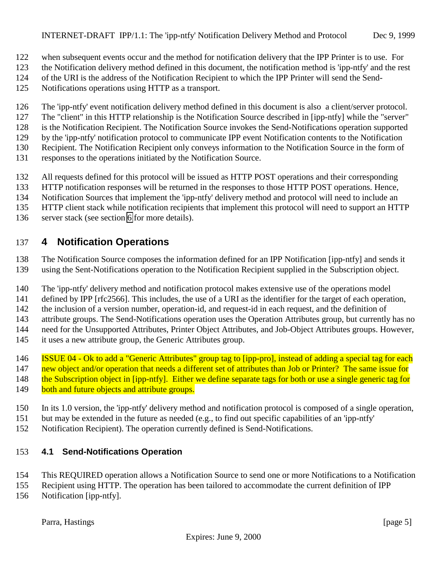- <span id="page-4-0"></span>when subsequent events occur and the method for notification delivery that the IPP Printer is to use. For
- the Notification delivery method defined in this document, the notification method is 'ipp-ntfy' and the rest
- of the URI is the address of the Notification Recipient to which the IPP Printer will send the Send-
- Notifications operations using HTTP as a transport.
- The 'ipp-ntfy' event notification delivery method defined in this document is also a client/server protocol.
- The "client" in this HTTP relationship is the Notification Source described in [ipp-ntfy] while the "server"
- is the Notification Recipient. The Notification Source invokes the Send-Notifications operation supported
- by the 'ipp-ntfy' notification protocol to communicate IPP event Notification contents to the Notification
- Recipient. The Notification Recipient only conveys information to the Notification Source in the form of
- responses to the operations initiated by the Notification Source.
- All requests defined for this protocol will be issued as HTTP POST operations and their corresponding
- HTTP notification responses will be returned in the responses to those HTTP POST operations. Hence,
- Notification Sources that implement the 'ipp-ntfy' delivery method and protocol will need to include an
- HTTP client stack while notification recipients that implement this protocol will need to support an HTTP
- server stack (see section [6](#page-8-0) for more details).

# **4 Notification Operations**

- The Notification Source composes the information defined for an IPP Notification [ipp-ntfy] and sends it
- using the Sent-Notifications operation to the Notification Recipient supplied in the Subscription object.
- The 'ipp-ntfy' delivery method and notification protocol makes extensive use of the operations model
- defined by IPP [rfc2566]. This includes, the use of a URI as the identifier for the target of each operation,
- the inclusion of a version number, operation-id, and request-id in each request, and the definition of
- attribute groups. The Send-Notifications operation uses the Operation Attributes group, but currently has no
- need for the Unsupported Attributes, Printer Object Attributes, and Job-Object Attributes groups. However,
- it uses a new attribute group, the Generic Attributes group.
- 146 ISSUE 04 Ok to add a "Generic Attributes" group tag to [ipp-pro], instead of adding a special tag for each
- 147 new object and/or operation that needs a different set of attributes than Job or Printer? The same issue for
- 148 the Subscription object in [ipp-ntfy]. Either we define separate tags for both or use a single generic tag for
- 149 both and future objects and attribute groups.
- In its 1.0 version, the 'ipp-ntfy' delivery method and notification protocol is composed of a single operation,
- but may be extended in the future as needed (e.g., to find out specific capabilities of an 'ipp-ntfy'
- Notification Recipient). The operation currently defined is Send-Notifications.

## **4.1 Send-Notifications Operation**

- This REQUIRED operation allows a Notification Source to send one or more Notifications to a Notification
- Recipient using HTTP. The operation has been tailored to accommodate the current definition of IPP
- Notification [ipp-ntfy].

Parra, Hastings [page 5]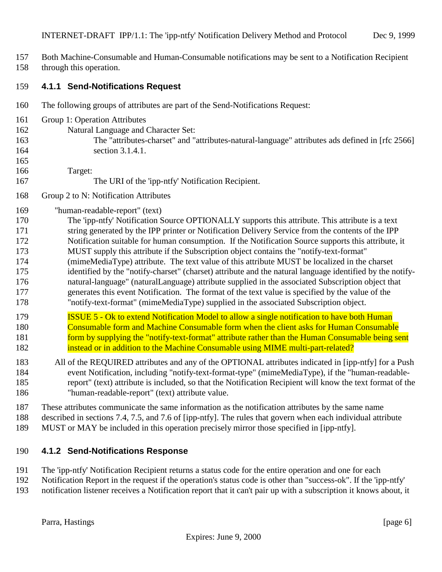- <span id="page-5-0"></span>Both Machine-Consumable and Human-Consumable notifications may be sent to a Notification Recipient
- through this operation.

#### **4.1.1 Send-Notifications Request**

- The following groups of attributes are part of the Send-Notifications Request:
- Group 1: Operation Attributes
- Natural Language and Character Set:
- 

 The "attributes-charset" and "attributes-natural-language" attributes ads defined in [rfc 2566] 164 section 3.1.4.1.

Target:

- The URI of the 'ipp-ntfy' Notification Recipient.
- Group 2 to N: Notification Attributes
- "human-readable-report" (text)
- The 'ipp-ntfy' Notification Source OPTIONALLY supports this attribute. This attribute is a text string generated by the IPP printer or Notification Delivery Service from the contents of the IPP Notification suitable for human consumption. If the Notification Source supports this attribute, it MUST supply this attribute if the Subscription object contains the "notify-text-format" (mimeMediaType) attribute. The text value of this attribute MUST be localized in the charset identified by the "notify-charset" (charset) attribute and the natural language identified by the notify- natural-language" (naturalLanguage) attribute supplied in the associated Subscription object that generates this event Notification. The format of the text value is specified by the value of the "notify-text-format" (mimeMediaType) supplied in the associated Subscription object.
- ISSUE 5 Ok to extend Notification Model to allow a single notification to have both Human Consumable form and Machine Consumable form when the client asks for Human Consumable **form by supplying the "notify-text-format" attribute rather than the Human Consumable being sent** instead or in addition to the Machine Consumable using MIME multi-part-related?
- All of the REQUIRED attributes and any of the OPTIONAL attributes indicated in [ipp-ntfy] for a Push event Notification, including "notify-text-format-type" (mimeMediaType), if the "human-readable- report" (text) attribute is included, so that the Notification Recipient will know the text format of the "human-readable-report" (text) attribute value.

These attributes communicate the same information as the notification attributes by the same name

described in sections 7.4, 7.5, and 7.6 of [ipp-ntfy]. The rules that govern when each individual attribute

MUST or MAY be included in this operation precisely mirror those specified in [ipp-ntfy].

### **4.1.2 Send-Notifications Response**

The 'ipp-ntfy' Notification Recipient returns a status code for the entire operation and one for each

- Notification Report in the request if the operation's status code is other than "success-ok". If the 'ipp-ntfy'
- notification listener receives a Notification report that it can't pair up with a subscription it knows about, it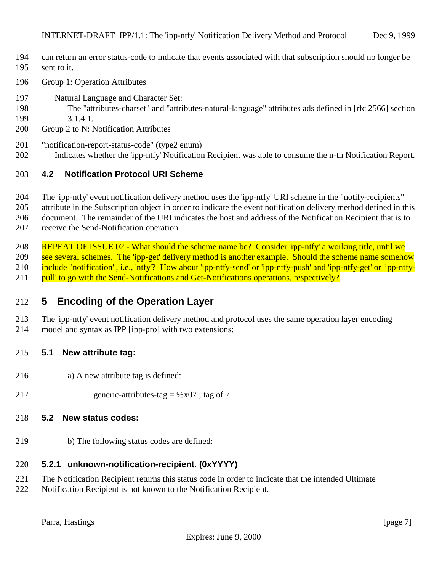- <span id="page-6-0"></span> can return an error status-code to indicate that events associated with that subscription should no longer be sent to it.
- Group 1: Operation Attributes
- Natural Language and Character Set:
- The "attributes-charset" and "attributes-natural-language" attributes ads defined in [rfc 2566] section 3.1.4.1.
- Group 2 to N: Notification Attributes
- "notification-report-status-code" (type2 enum)
- Indicates whether the 'ipp-ntfy' Notification Recipient was able to consume the n-th Notification Report.

#### **4.2 Notification Protocol URI Scheme**

The 'ipp-ntfy' event notification delivery method uses the 'ipp-ntfy' URI scheme in the "notify-recipients"

attribute in the Subscription object in order to indicate the event notification delivery method defined in this

document. The remainder of the URI indicates the host and address of the Notification Recipient that is to

receive the Send-Notification operation.

 REPEAT OF ISSUE 02 - What should the scheme name be? Consider 'ipp-ntfy' a working title, until we 209 see several schemes. The 'ipp-get' delivery method is another example. Should the scheme name somehow 210 include "notification", i.e., 'ntfy'? How about 'ipp-ntfy-send' or 'ipp-ntfy-push' and 'ipp-ntfy-get' or 'ipp-ntfy-211 pull' to go with the Send-Notifications and Get-Notifications operations, respectively?

## **5 Encoding of the Operation Layer**

 The 'ipp-ntfy' event notification delivery method and protocol uses the same operation layer encoding model and syntax as IPP [ipp-pro] with two extensions:

#### **5.1 New attribute tag:**

- a) A new attribute tag is defined:
- 217 generic-attributes-tag =  $%x07$ ; tag of 7

#### **5.2 New status codes:**

b) The following status codes are defined:

#### **5.2.1 unknown-notification-recipient. (0xYYYY)**

- The Notification Recipient returns this status code in order to indicate that the intended Ultimate
- Notification Recipient is not known to the Notification Recipient.

Parra, Hastings [page 7]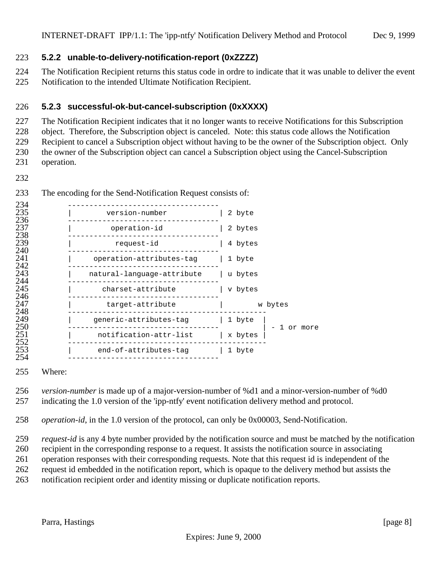#### <span id="page-7-0"></span>**5.2.2 unable-to-delivery-notification-report (0xZZZZ)**

The Notification Recipient returns this status code in ordre to indicate that it was unable to deliver the event

Notification to the intended Ultimate Notification Recipient.

#### **5.2.3 successful-ok-but-cancel-subscription (0xXXXX)**

The Notification Recipient indicates that it no longer wants to receive Notifications for this Subscription

object. Therefore, the Subscription object is canceled. Note: this status code allows the Notification

Recipient to cancel a Subscription object without having to be the owner of the Subscription object. Only

the owner of the Subscription object can cancel a Subscription object using the Cancel-Subscription

operation.

| 234        |                                   |                     |
|------------|-----------------------------------|---------------------|
| 235        | version-number                    | 2 byte              |
| 236<br>237 | operation-id                      | 2 bytes             |
| 238<br>239 | request-id                        | 4 bytes             |
| 240<br>241 | operation-attributes-tag   1 byte |                     |
| 242<br>243 | natural-language-attribute        | u bytes             |
| 244<br>245 | charset-attribute                 | v bytes             |
| 246<br>247 | target-attribute                  | w bytes             |
| 248        |                                   |                     |
| 249<br>250 | generic-attributes-tag            | 1 byte<br>1 or more |
| 251<br>252 | notification-attr-list            | x bytes             |
| 253        | end-of-attributes-tag             | 1 byte              |
| 254        |                                   |                     |

The encoding for the Send-Notification Request consists of:

Where:

 *version-number* is made up of a major-version-number of %d1 and a minor-version-number of %d0 indicating the 1.0 version of the 'ipp-ntfy' event notification delivery method and protocol.

*operation-id*, in the 1.0 version of the protocol, can only be 0x00003, Send-Notification.

 *request-id* is any 4 byte number provided by the notification source and must be matched by the notification recipient in the corresponding response to a request. It assists the notification source in associating

operation responses with their corresponding requests. Note that this request id is independent of the

request id embedded in the notification report, which is opaque to the delivery method but assists the

notification recipient order and identity missing or duplicate notification reports.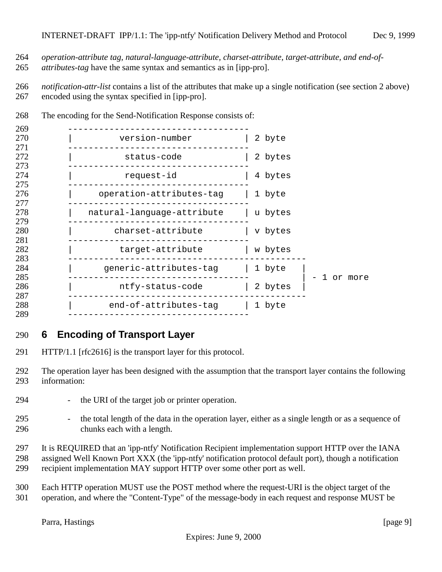- <span id="page-8-0"></span>*operation-attribute tag, natural-language-attribute, charset-attribute, target-attribute, and end-of-*
- *attributes-tag* have the same syntax and semantics as in [ipp-pro].
- *notification-attr-list* contains a list of the attributes that make up a single notification (see section 2 above) encoded using the syntax specified in [ipp-pro].

| 269               |                                   |                      |
|-------------------|-----------------------------------|----------------------|
| 270<br>271        | version-number                    | 2 byte               |
| 272               | status-code                       | 2 bytes              |
| 273<br>274        | request-id                        | 4 bytes              |
| 275<br>276        | operation-attributes-tag   1 byte |                      |
| 277<br>278        | natural-language-attribute        | u bytes              |
| 279<br>280        | charset-attribute                 | v bytes              |
| 281<br>282        | target-attribute                  | w bytes              |
| 283<br>284        | generic-attributes-tag   1 byte   |                      |
| 285<br>286        | ntfy-status-code                  | l or more<br>2 bytes |
| 287<br>288<br>289 | end-of-attributes-tag   1 byte    |                      |

The encoding for the Send-Notification Response consists of:

## **6 Encoding of Transport Layer**

- HTTP/1.1 [rfc2616] is the transport layer for this protocol.
- The operation layer has been designed with the assumption that the transport layer contains the following information:
- the URI of the target job or printer operation.
- the total length of the data in the operation layer, either as a single length or as a sequence of chunks each with a length.
- It is REQUIRED that an 'ipp-ntfy' Notification Recipient implementation support HTTP over the IANA assigned Well Known Port XXX (the 'ipp-ntfy' notification protocol default port), though a notification recipient implementation MAY support HTTP over some other port as well.
- Each HTTP operation MUST use the POST method where the request-URI is the object target of the operation, and where the "Content-Type" of the message-body in each request and response MUST be

Parra, Hastings [page 9]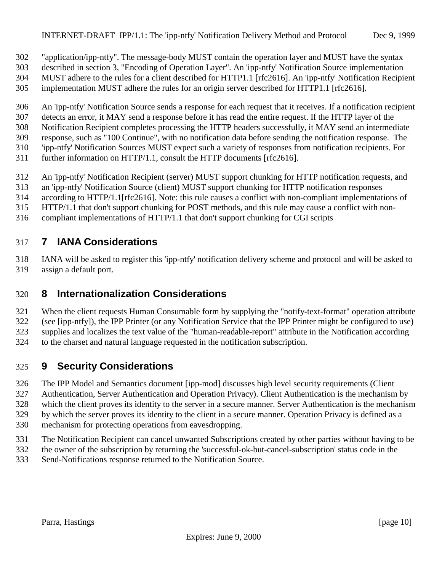<span id="page-9-0"></span>"application/ipp-ntfy". The message-body MUST contain the operation layer and MUST have the syntax

- described in section 3, "Encoding of Operation Layer". An 'ipp-ntfy' Notification Source implementation
- MUST adhere to the rules for a client described for HTTP1.1 [rfc2616]. An 'ipp-ntfy' Notification Recipient
- implementation MUST adhere the rules for an origin server described for HTTP1.1 [rfc2616].
- An 'ipp-ntfy' Notification Source sends a response for each request that it receives. If a notification recipient
- detects an error, it MAY send a response before it has read the entire request. If the HTTP layer of the
- Notification Recipient completes processing the HTTP headers successfully, it MAY send an intermediate
- response, such as "100 Continue", with no notification data before sending the notification response. The
- 'ipp-ntfy' Notification Sources MUST expect such a variety of responses from notification recipients. For further information on HTTP/1.1, consult the HTTP documents [rfc2616].
- 
- An 'ipp-ntfy' Notification Recipient (server) MUST support chunking for HTTP notification requests, and
- an 'ipp-ntfy' Notification Source (client) MUST support chunking for HTTP notification responses
- according to HTTP/1.1[rfc2616]. Note: this rule causes a conflict with non-compliant implementations of
- HTTP/1.1 that don't support chunking for POST methods, and this rule may cause a conflict with non-
- compliant implementations of HTTP/1.1 that don't support chunking for CGI scripts

# **7 IANA Considerations**

 IANA will be asked to register this 'ipp-ntfy' notification delivery scheme and protocol and will be asked to assign a default port.

# **8 Internationalization Considerations**

- When the client requests Human Consumable form by supplying the "notify-text-format" operation attribute (see [ipp-ntfy]), the IPP Printer (or any Notification Service that the IPP Printer might be configured to use)
- supplies and localizes the text value of the "human-readable-report" attribute in the Notification according
- to the charset and natural language requested in the notification subscription.

# **9 Security Considerations**

- The IPP Model and Semantics document [ipp-mod] discusses high level security requirements (Client
- Authentication, Server Authentication and Operation Privacy). Client Authentication is the mechanism by
- which the client proves its identity to the server in a secure manner. Server Authentication is the mechanism
- by which the server proves its identity to the client in a secure manner. Operation Privacy is defined as a
- mechanism for protecting operations from eavesdropping.
- The Notification Recipient can cancel unwanted Subscriptions created by other parties without having to be
- the owner of the subscription by returning the 'successful-ok-but-cancel-subscription' status code in the Send-Notifications response returned to the Notification Source.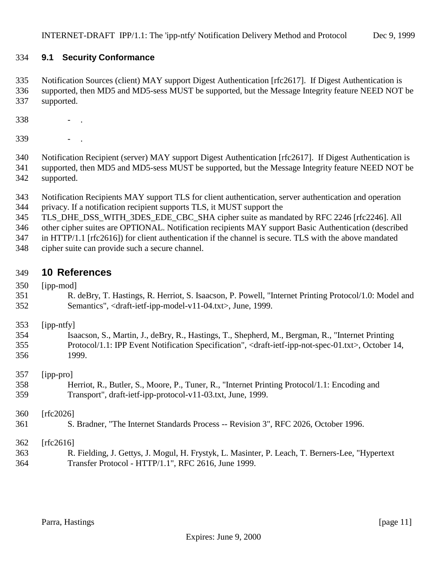### <span id="page-10-0"></span>**9.1 Security Conformance**

 Notification Sources (client) MAY support Digest Authentication [rfc2617]. If Digest Authentication is supported, then MD5 and MD5-sess MUST be supported, but the Message Integrity feature NEED NOT be supported.

- .
- .

 Notification Recipient (server) MAY support Digest Authentication [rfc2617]. If Digest Authentication is supported, then MD5 and MD5-sess MUST be supported, but the Message Integrity feature NEED NOT be supported.

- Notification Recipients MAY support TLS for client authentication, server authentication and operation
- privacy. If a notification recipient supports TLS, it MUST support the
- TLS\_DHE\_DSS\_WITH\_3DES\_EDE\_CBC\_SHA cipher suite as mandated by RFC 2246 [rfc2246]. All
- other cipher suites are OPTIONAL. Notification recipients MAY support Basic Authentication (described
- in HTTP/1.1 [rfc2616]) for client authentication if the channel is secure. TLS with the above mandated
- cipher suite can provide such a secure channel.

### **10 References**

- [ipp-mod]
- R. deBry, T. Hastings, R. Herriot, S. Isaacson, P. Powell, "Internet Printing Protocol/1.0: Model and Semantics", <draft-ietf-ipp-model-v11-04.txt>, June, 1999.
- [ipp-ntfy]

| 354 | Isaacson, S., Martin, J., deBry, R., Hastings, T., Shepherd, M., Bergman, R., "Internet Printing                                    |
|-----|-------------------------------------------------------------------------------------------------------------------------------------|
| 355 | Protocol/1.1: IPP Event Notification Specification", <draft-ietf-ipp-not-spec-01.txt>, October 14,</draft-ietf-ipp-not-spec-01.txt> |
| 356 | 1999.                                                                                                                               |

[ipp-pro]

 Herriot, R., Butler, S., Moore, P., Tuner, R., "Internet Printing Protocol/1.1: Encoding and Transport", draft-ietf-ipp-protocol-v11-03.txt, June, 1999.

[rfc2026]

S. Bradner, "The Internet Standards Process -- Revision 3", RFC 2026, October 1996.

[rfc2616]

 R. Fielding, J. Gettys, J. Mogul, H. Frystyk, L. Masinter, P. Leach, T. Berners-Lee, "Hypertext Transfer Protocol - HTTP/1.1", RFC 2616, June 1999.